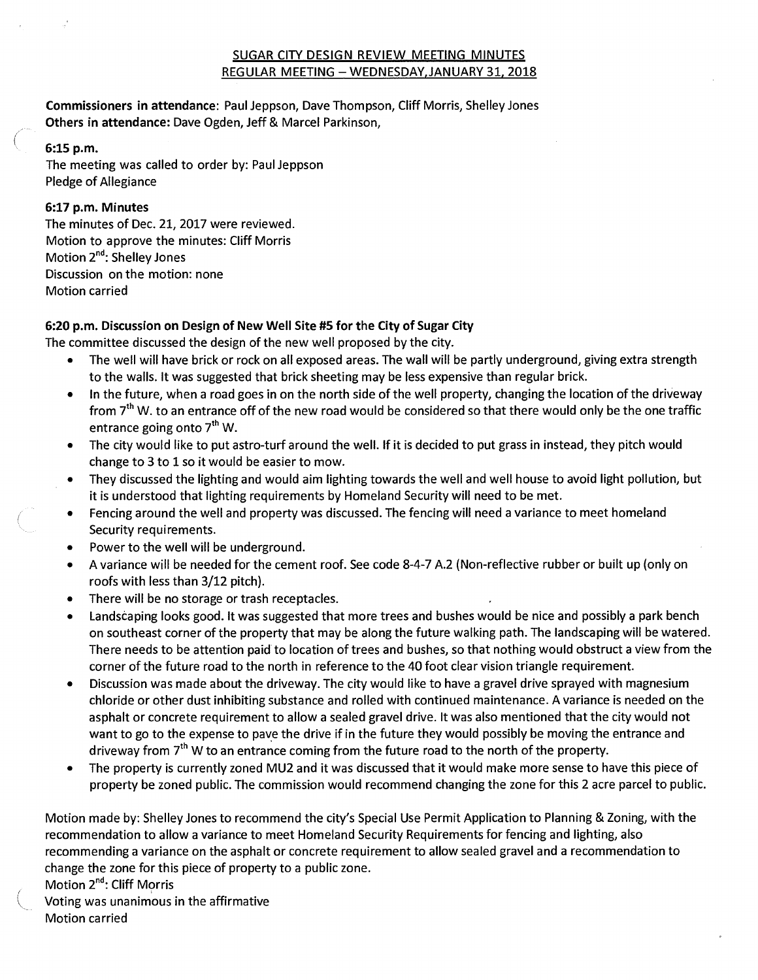# SUGAR CITY DESIGN REVIEW MEETING MINUTES REGULAR MEETING — WEDNESDAY,JANUARY 31, 2018

**Commissioners in attendance:** Paul Jeppson, Dave Thompson, Cliff Morris, Shelley Jones **Others in attendance:** Dave Ogden, Jeff & Marcel Parkinson,

### **6:15 p.m.**

The meeting was called to order by: Paul Jeppson Pledge of Allegiance

## **6:17 p.m. Minutes**

The minutes of Dec. 21, 2017 were reviewed. Motion to approve the minutes: Cliff Morris Motion 2<sup>nd</sup>: Shelley Jones Discussion on the motion: none Motion carried

## **6:20 p.m. Discussion on Design of New Well Site #5 for the City of Sugar City**

The committee discussed the design of the new well proposed by the city.

- The well will have brick or rock on all exposed areas. The wall will be partly underground, giving extra strength to the walls. It was suggested that brick sheeting may be less expensive than regular brick.
- In the future, when a road goes in on the north side of the well property, changing the location of the driveway from 7<sup>th</sup> W. to an entrance off of the new road would be considered so that there would only be the one traffic entrance going onto  $7<sup>th</sup>$  W.
- The city would like to put astro-turf around the well. If it is decided to put grass in instead, they pitch would change to 3 to 1 so it would be easier to mow.
- They discussed the lighting and would aim lighting towards the well and well house to avoid light pollution, but it is understood that lighting requirements by Homeland Security will need to be met.
- Fencing around the well and property was discussed. The fencing will need a variance to meet homeland Security requirements.
- Power to the well will be underground.
- A variance will be needed for the cement roof. See code 8-4-7 A.2 (Non-reflective rubber or built up (only on roofs with less than 3/12 pitch).
- There will be no storage or trash receptacles.
- Landscaping looks good. It was suggested that more trees and bushes would be nice and possibly a park bench on southeast corner of the property that may be along the future walking path. The landscaping will be watered. There needs to be attention paid to location of trees and bushes, so that nothing would obstruct a view from the corner of the future road to the north in reference to the 40 foot clear vision triangle requirement.
- Discussion was made about the driveway. The city would like to have a gravel drive sprayed with magnesium chloride or other dust inhibiting substance and rolled with continued maintenance. A variance is needed on the asphalt or concrete requirement to allow a sealed gravel drive. It was also mentioned that the city would not want to go to the expense to pave the drive if in the future they would possibly be moving the entrance and driveway from  $7<sup>th</sup>$  W to an entrance coming from the future road to the north of the property.
- The property is currently zoned MU2 and it was discussed that it would make more sense to have this piece of property be zoned public. The commission would recommend changing the zone for this 2 acre parcel to public.

Motion made by: Shelley Jones to recommend the city's Special Use Permit Application to Planning & Zoning, with the recommendation to allow a variance to meet Homeland Security Requirements for fencing and lighting, also recommending a variance on the asphalt or concrete requirement to allow sealed gravel and a recommendation to change the zone for this piece of property to a public zone.

Motion 2<sup>nd</sup>: Cliff Morris

Voting was unanimous in the affirmative Motion carried